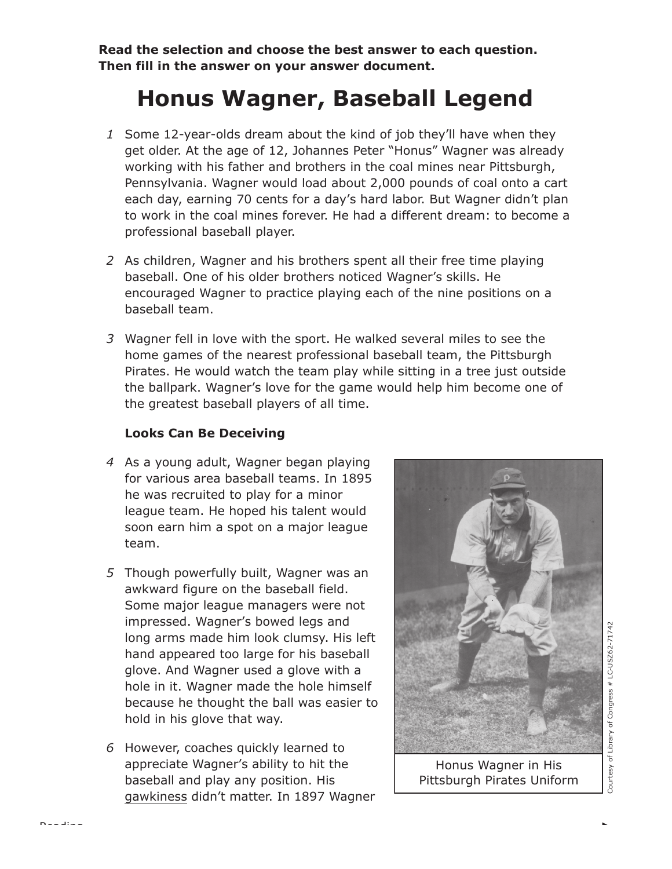**Read the selection and choose the best answer to each question. Then fill in the answer on your answer document.**

## **Honus Wagner, Baseball Legend**

- *1* Some 12-year-olds dream about the kind of job they'll have when they get older. At the age of 12, Johannes Peter "Honus" Wagner was already working with his father and brothers in the coal mines near Pittsburgh, Pennsylvania. Wagner would load about 2,000 pounds of coal onto a cart each day, earning 70 cents for a day's hard labor. But Wagner didn't plan to work in the coal mines forever. He had a different dream: to become a professional baseball player.
- *2* As children, Wagner and his brothers spent all their free time playing baseball. One of his older brothers noticed Wagner's skills. He encouraged Wagner to practice playing each of the nine positions on a baseball team.
- *3* Wagner fell in love with the sport. He walked several miles to see the home games of the nearest professional baseball team, the Pittsburgh Pirates. He would watch the team play while sitting in a tree just outside the ballpark. Wagner's love for the game would help him become one of the greatest baseball players of all time.

## **Looks Can Be Deceiving**

- *4* As a young adult, Wagner began playing for various area baseball teams. In 1895 he was recruited to play for a minor league team. He hoped his talent would soon earn him a spot on a major league team.
- *5* Though powerfully built, Wagner was an awkward figure on the baseball field. Some major league managers were not impressed. Wagner's bowed legs and long arms made him look clumsy. His left hand appeared too large for his baseball glove. And Wagner used a glove with a hole in it. Wagner made the hole himself because he thought the ball was easier to hold in his glove that way.
- *6* However, coaches quickly learned to appreciate Wagner's ability to hit the baseball and play any position. His gawkiness didn't matter. In 1897 Wagner



Honus Wagner in His Pittsburgh Pirates Uniform

Courtesy of Library of Congress # LC-USZ62-71742 of Library of Congress # LC-USZ62-71742 Courtesy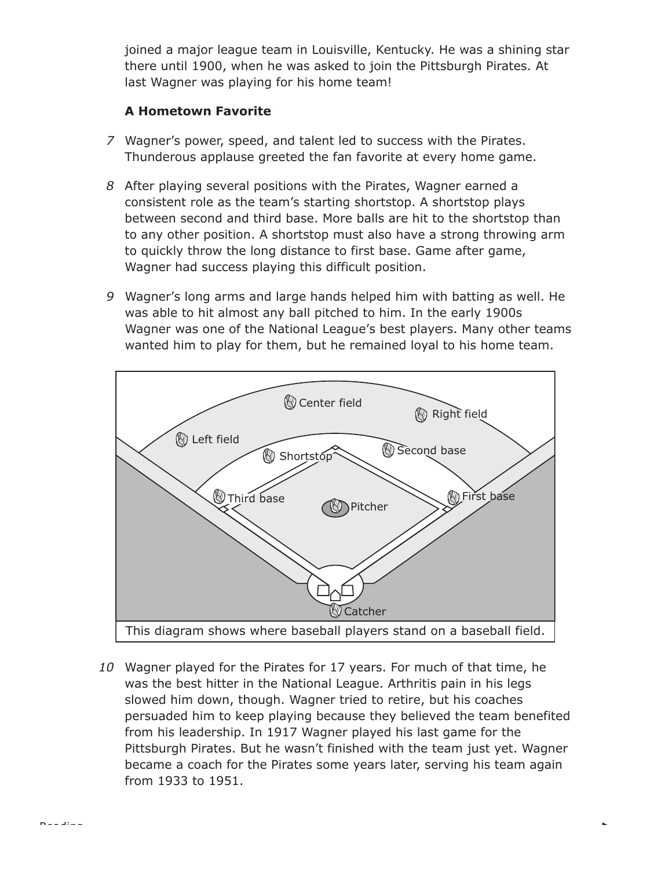joined a major league team in Louisville, Kentucky. He was a shining star there until 1900, when he was asked to join the Pittsburgh Pirates. At last Wagner was playing for his home team!

## **A Hometown Favorite**

- *7* Wagner's power, speed, and talent led to success with the Pirates. Thunderous applause greeted the fan favorite at every home game.
- *8* After playing several positions with the Pirates, Wagner earned a consistent role as the team's starting shortstop. A shortstop plays between second and third base. More balls are hit to the shortstop than to any other position. A shortstop must also have a strong throwing arm to quickly throw the long distance to first base. Game after game, Wagner had success playing this difficult position.
- *9* Wagner's long arms and large hands helped him with batting as well. He was able to hit almost any ball pitched to him. In the early 1900s Wagner was one of the National League's best players. Many other teams wanted him to play for them, but he remained loyal to his home team.



*10* Wagner played for the Pirates for 17 years. For much of that time, he was the best hitter in the National League. Arthritis pain in his legs slowed him down, though. Wagner tried to retire, but his coaches persuaded him to keep playing because they believed the team benefited from his leadership. In 1917 Wagner played his last game for the Pittsburgh Pirates. But he wasn't finished with the team just yet. Wagner became a coach for the Pirates some years later, serving his team again from 1933 to 1951.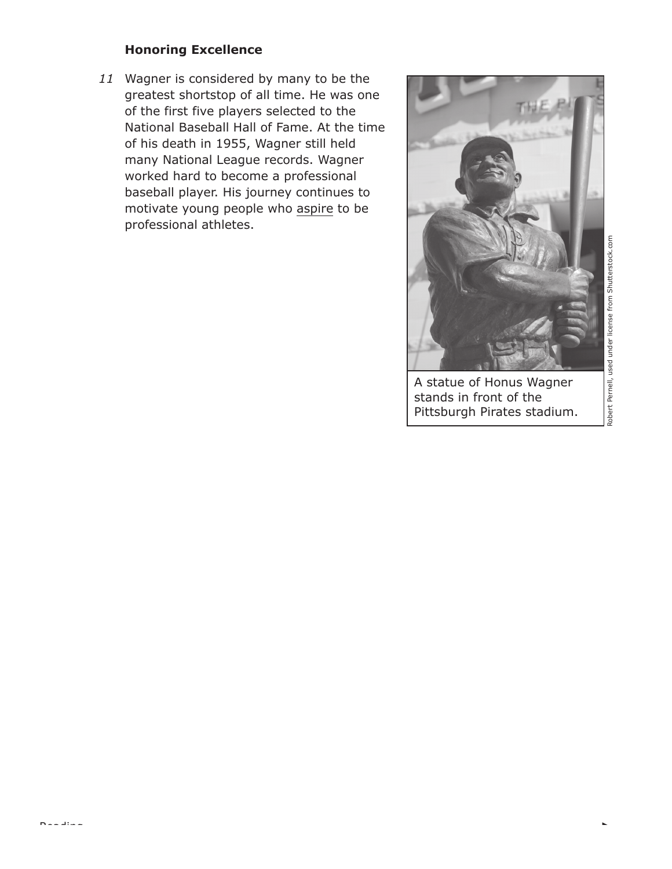## **Honoring Excellence**

*11* Wagner is considered by many to be the greatest shortstop of all time. He was one of the first five players selected to the National Baseball Hall of Fame. At the time of his death in 1955, Wagner still held many National League records. Wagner worked hard to become a professional baseball player. His journey continues to motivate young people who aspire to be professional athletes.



Robert Pernell, used under license from Shutterstock.com Robert Pernell, used under license from Shutterstock.com

A statue of Honus Wagner stands in front of the Pittsburgh Pirates stadium.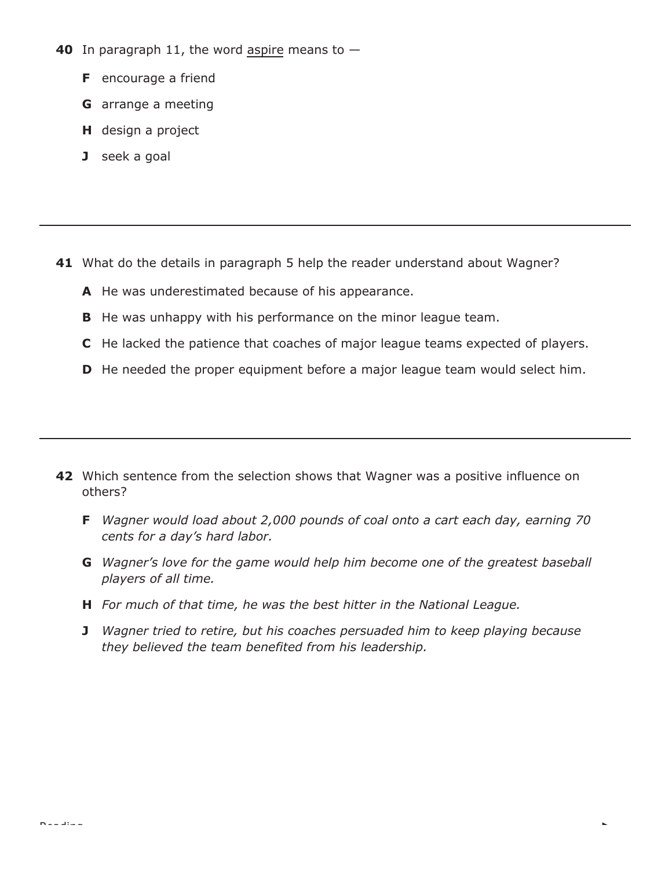- **40** In paragraph 11, the word aspire means to
	- **F** encourage a friend
	- **G** arrange a meeting
	- **H** design a project
	- **J** seek a goal

- **41** What do the details in paragraph 5 help the reader understand about Wagner?
	- **A** He was underestimated because of his appearance.
	- **B** He was unhappy with his performance on the minor league team.
	- **C** He lacked the patience that coaches of major league teams expected of players.
	- **D** He needed the proper equipment before a major league team would select him.

- **42** Which sentence from the selection shows that Wagner was a positive influence on others?
	- **F** *Wagner would load about 2,000 pounds of coal onto a cart each day, earning 70 cents for a day's hard labor.*
	- **G** *Wagner's love for the game would help him become one of the greatest baseball players of all time.*
	- **H** *For much of that time, he was the best hitter in the National League.*
	- **J** *Wagner tried to retire, but his coaches persuaded him to keep playing because they believed the team benefited from his leadership.*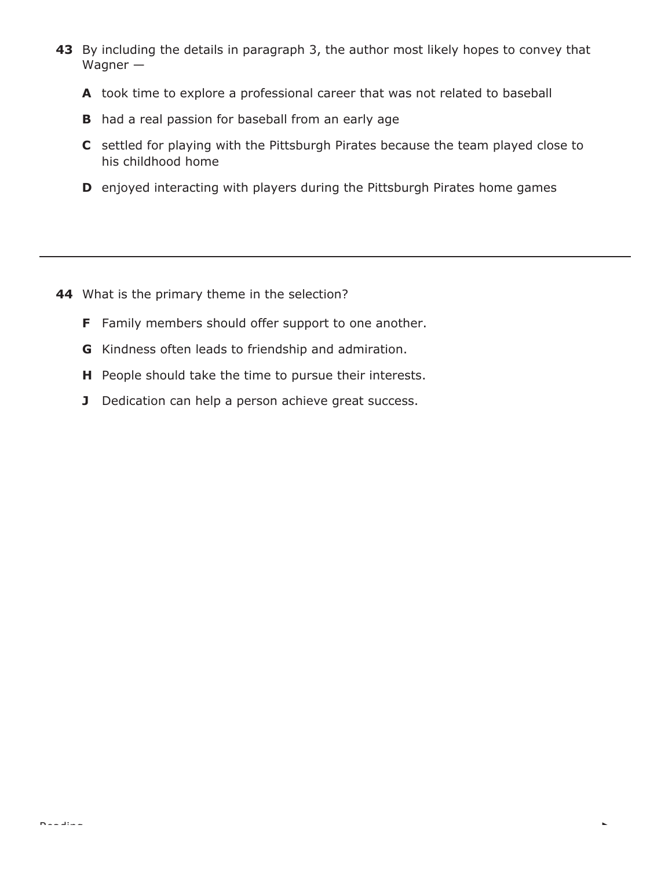- **43** By including the details in paragraph 3, the author most likely hopes to convey that Wagner —
	- **A** took time to explore a professional career that was not related to baseball
	- **B** had a real passion for baseball from an early age
	- **C** settled for playing with the Pittsburgh Pirates because the team played close to his childhood home

k.

**D** enjoyed interacting with players during the Pittsburgh Pirates home games

- **44** What is the primary theme in the selection?
	- **F** Family members should offer support to one another.
	- **G** Kindness often leads to friendship and admiration.
	- **H** People should take the time to pursue their interests.
	- **J** Dedication can help a person achieve great success.